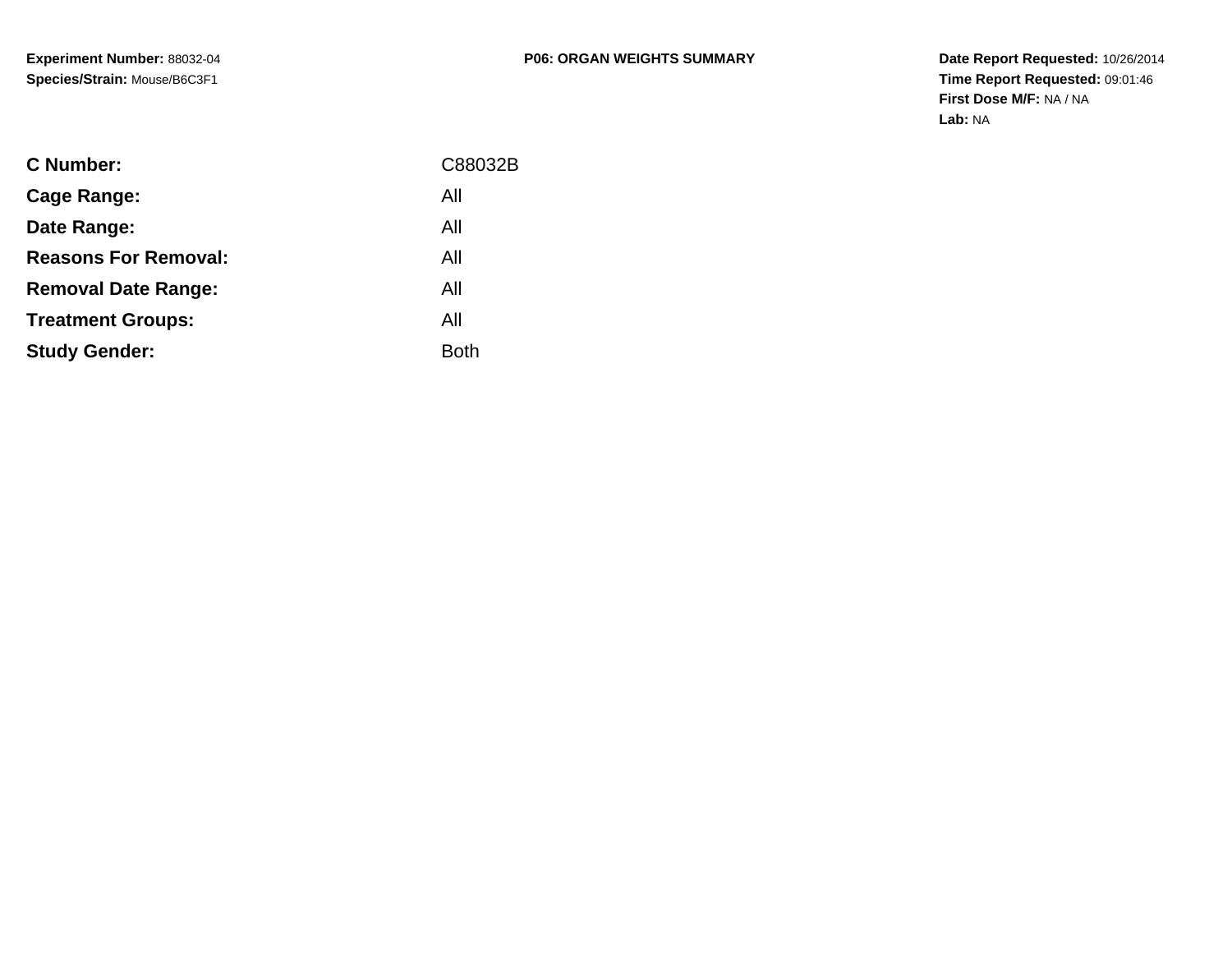| <b>C</b> Number:            | C88032B     |
|-----------------------------|-------------|
| Cage Range:                 | All         |
| Date Range:                 | All         |
| <b>Reasons For Removal:</b> | All         |
| <b>Removal Date Range:</b>  | All         |
| <b>Treatment Groups:</b>    | All         |
| <b>Study Gender:</b>        | <b>Both</b> |
|                             |             |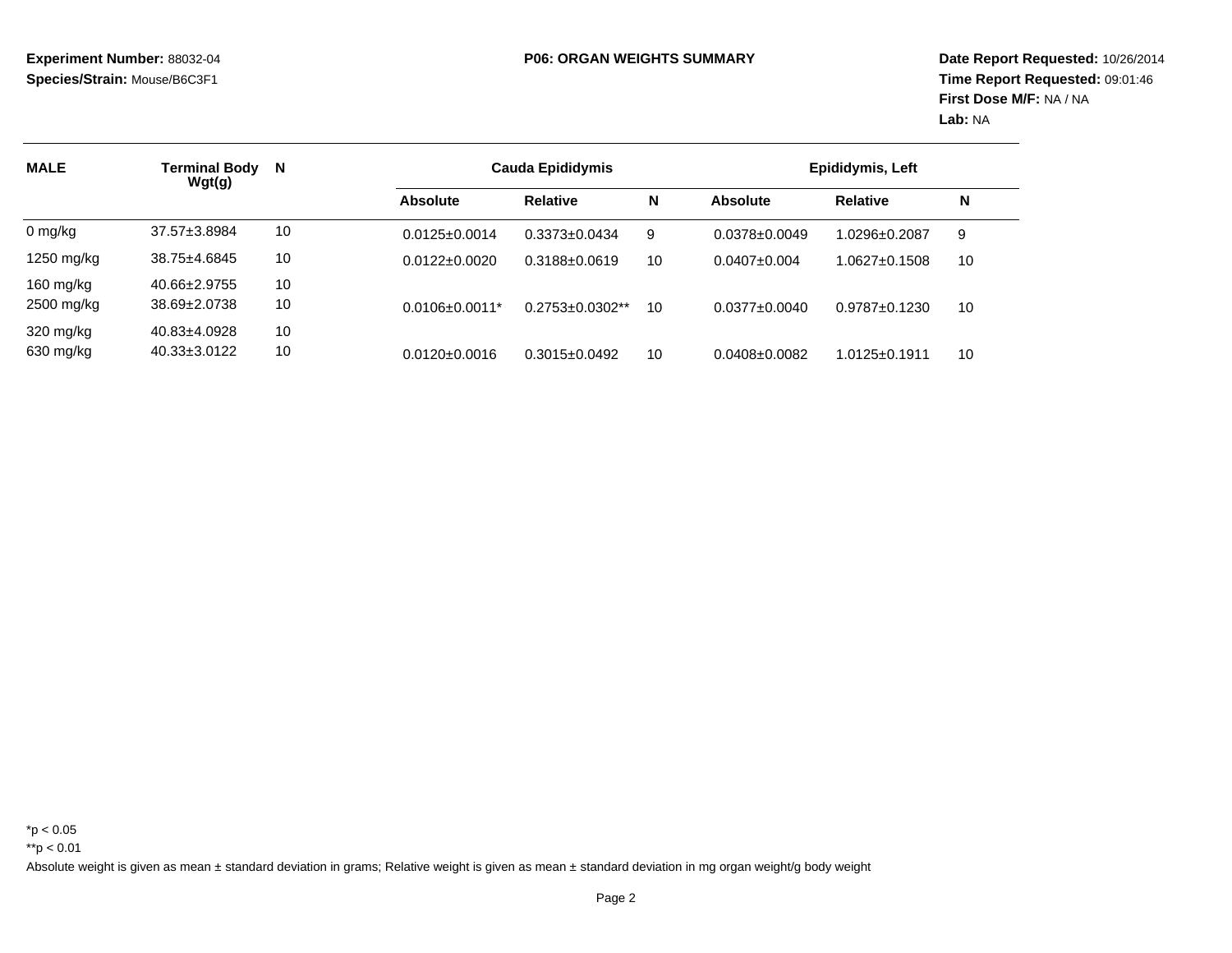| <b>MALE</b> | Terminal Body<br>Wgt(g) | N  |                       | <b>Cauda Epididymis</b> |    | Epididymis, Left    |                     |    |
|-------------|-------------------------|----|-----------------------|-------------------------|----|---------------------|---------------------|----|
|             |                         |    | <b>Absolute</b>       | <b>Relative</b>         | N  | <b>Absolute</b>     | <b>Relative</b>     | N  |
| $0$ mg/kg   | $37.57 \pm 3.8984$      | 10 | $0.0125 \pm 0.0014$   | $0.3373 \pm 0.0434$     | 9  | $0.0378 \pm 0.0049$ | 1.0296±0.2087       | 9  |
| 1250 mg/kg  | $38.75 \pm 4.6845$      | 10 | $0.0122 \pm 0.0020$   | $0.3188 \pm 0.0619$     | 10 | $0.0407 \pm 0.004$  | $1.0627 \pm 0.1508$ | 10 |
| 160 $mg/kg$ | 40.66±2.9755            | 10 |                       |                         |    |                     |                     |    |
| 2500 mg/kg  | 38.69±2.0738            | 10 | $0.0106 \pm 0.0011$ * | $0.2753 \pm 0.0302**$   | 10 | $0.0377 \pm 0.0040$ | $0.9787 + 0.1230$   | 10 |
| 320 mg/kg   | 40.83±4.0928            | 10 |                       |                         |    |                     |                     |    |
| 630 mg/kg   | $40.33 \pm 3.0122$      | 10 | $0.0120 \pm 0.0016$   | $0.3015 \pm 0.0492$     | 10 | $0.0408 \pm 0.0082$ | 1.0125±0.1911       | 10 |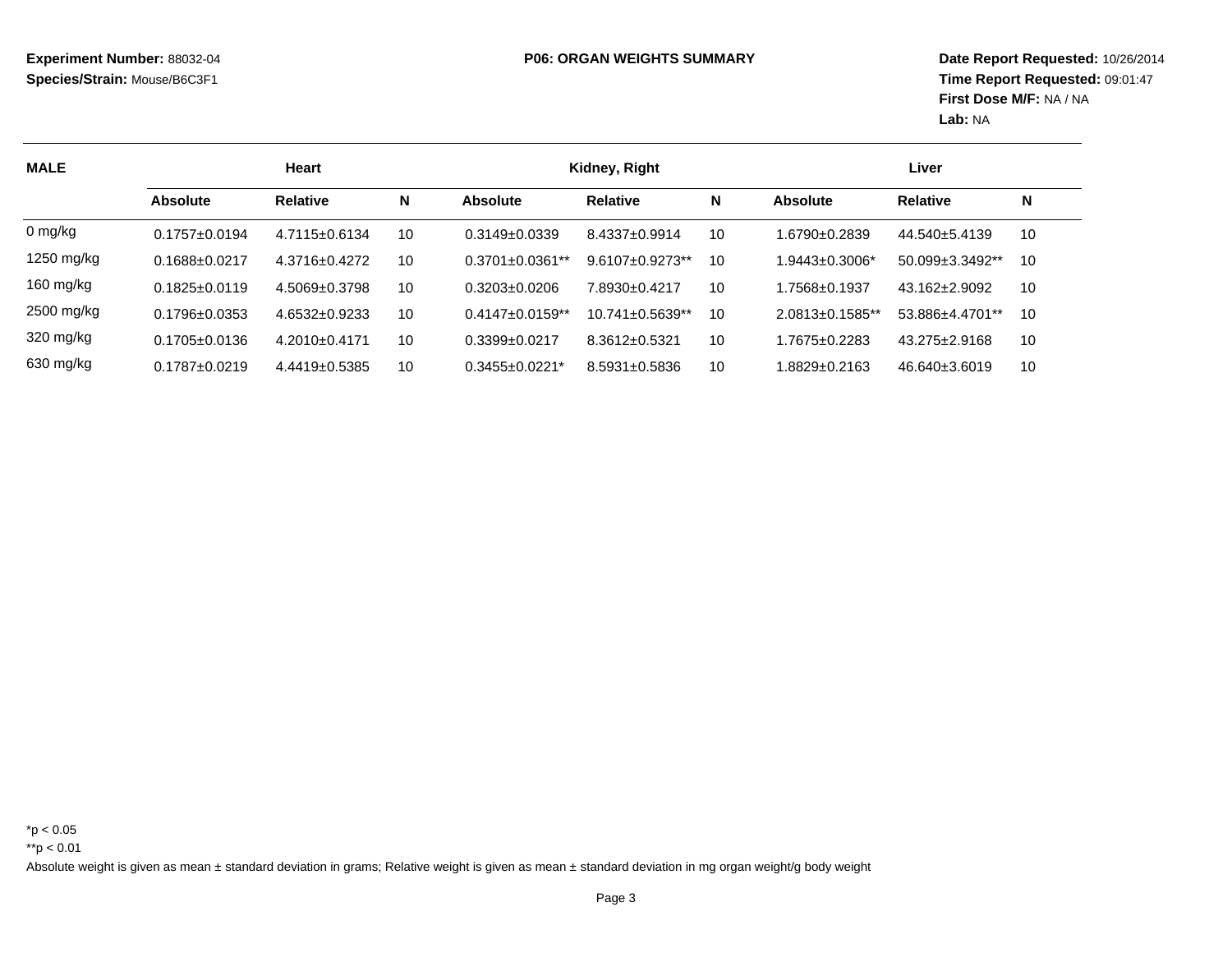| <b>MALE</b> | <b>Heart</b>        |                     |    |                        | Kidney, Right          |    |                        | Liver                  |    |
|-------------|---------------------|---------------------|----|------------------------|------------------------|----|------------------------|------------------------|----|
|             | <b>Absolute</b>     | <b>Relative</b>     | N  | <b>Absolute</b>        | <b>Relative</b>        | N  | Absolute               | <b>Relative</b>        | N  |
| $0$ mg/kg   | $0.1757 \pm 0.0194$ | $4.7115 \pm 0.6134$ | 10 | $0.3149 + 0.0339$      | $8.4337 \pm 0.9914$    | 10 | 1.6790±0.2839          | 44.540±5.4139          | 10 |
| 1250 mg/kg  | $0.1688 \pm 0.0217$ | 4.3716±0.4272       | 10 | $0.3701 \pm 0.0361$ ** | $9.6107 \pm 0.9273$ ** | 10 | $1.9443 \pm 0.3006$ *  | $50.099 \pm 3.3492$ ** | 10 |
| 160 mg/kg   | $0.1825 \pm 0.0119$ | $4.5069 \pm 0.3798$ | 10 | $0.3203 + 0.0206$      | 7.8930+0.4217          | 10 | $1.7568 \pm 0.1937$    | $43.162 \pm 2.9092$    | 10 |
| 2500 mg/kg  | $0.1796 \pm 0.0353$ | $4.6532 \pm 0.9233$ | 10 | $0.4147 \pm 0.0159$ ** | $10.741 \pm 0.5639$ ** | 10 | $2.0813 \pm 0.1585$ ** | 53.886±4.4701**        | 10 |
| 320 mg/kg   | $0.1705 \pm 0.0136$ | $4.2010+0.4171$     | 10 | $0.3399 + 0.0217$      | $8.3612 \pm 0.5321$    | 10 | $1.7675 \pm 0.2283$    | $43.275 \pm 2.9168$    | 10 |
| 630 mg/kg   | $0.1787 + 0.0219$   | $4.4419 \pm 0.5385$ | 10 | $0.3455 \pm 0.0221$ *  | $8.5931 \pm 0.5836$    | 10 | 1.8829±0.2163          | $46.640 \pm 3.6019$    | 10 |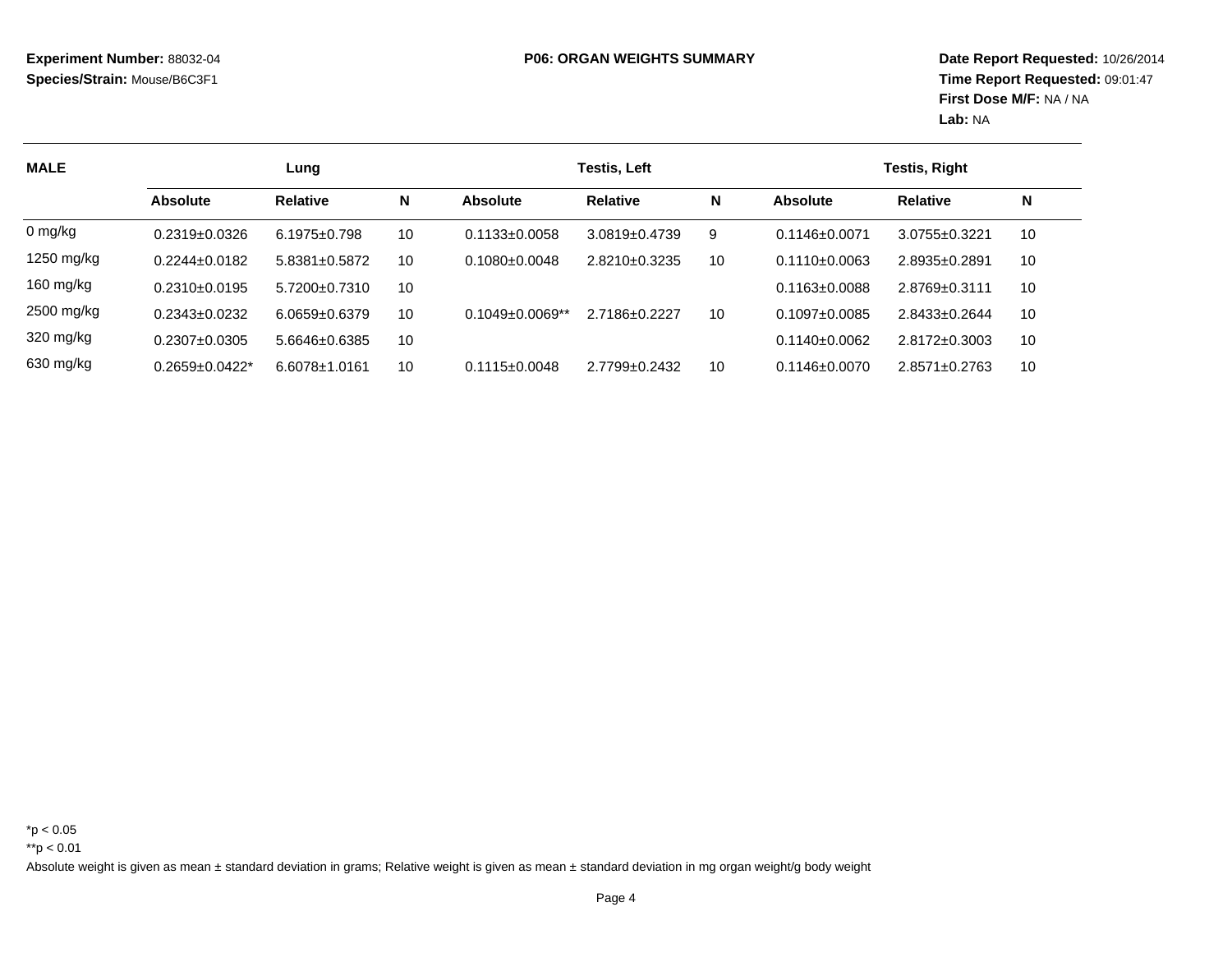| <b>MALE</b> | Lung                  |                     |    |                        | Testis, Left        |    |                     | <b>Testis, Right</b> |    |  |
|-------------|-----------------------|---------------------|----|------------------------|---------------------|----|---------------------|----------------------|----|--|
|             | <b>Absolute</b>       | <b>Relative</b>     | N  | <b>Absolute</b>        | <b>Relative</b>     | N  | <b>Absolute</b>     | <b>Relative</b>      | N  |  |
| $0$ mg/kg   | $0.2319+0.0326$       | $6.1975 \pm 0.798$  | 10 | $0.1133 \pm 0.0058$    | $3.0819 \pm 0.4739$ | 9  | $0.1146 \pm 0.0071$ | 3.0755±0.3221        | 10 |  |
| 1250 mg/kg  | $0.2244 \pm 0.0182$   | $5.8381 \pm 0.5872$ | 10 | $0.1080 \pm 0.0048$    | $2.8210 \pm 0.3235$ | 10 | $0.1110+0.0063$     | $2.8935 \pm 0.289$   | 10 |  |
| 160 $mg/kg$ | $0.2310+0.0195$       | 5.7200+0.7310       | 10 |                        |                     |    | $0.1163 \pm 0.0088$ | $2.8769 \pm 0.3111$  | 10 |  |
| 2500 mg/kg  | $0.2343 \pm 0.0232$   | $6.0659 \pm 0.6379$ | 10 | $0.1049 \pm 0.0069$ ** | 2.7186±0.2227       | 10 | $0.1097 + 0.0085$   | $2.8433 \pm 0.2644$  | 10 |  |
| 320 mg/kg   | $0.2307 + 0.0305$     | 5.6646±0.6385       | 10 |                        |                     |    | $0.1140+0.0062$     | $2.8172 \pm 0.3003$  | 10 |  |
| 630 mg/kg   | $0.2659 \pm 0.0422$ * | $6.6078 \pm 1.0161$ | 10 | $0.1115 \pm 0.0048$    | $2.7799 \pm 0.2432$ | 10 | $0.1146 \pm 0.0070$ | $2.8571 \pm 0.2763$  | 10 |  |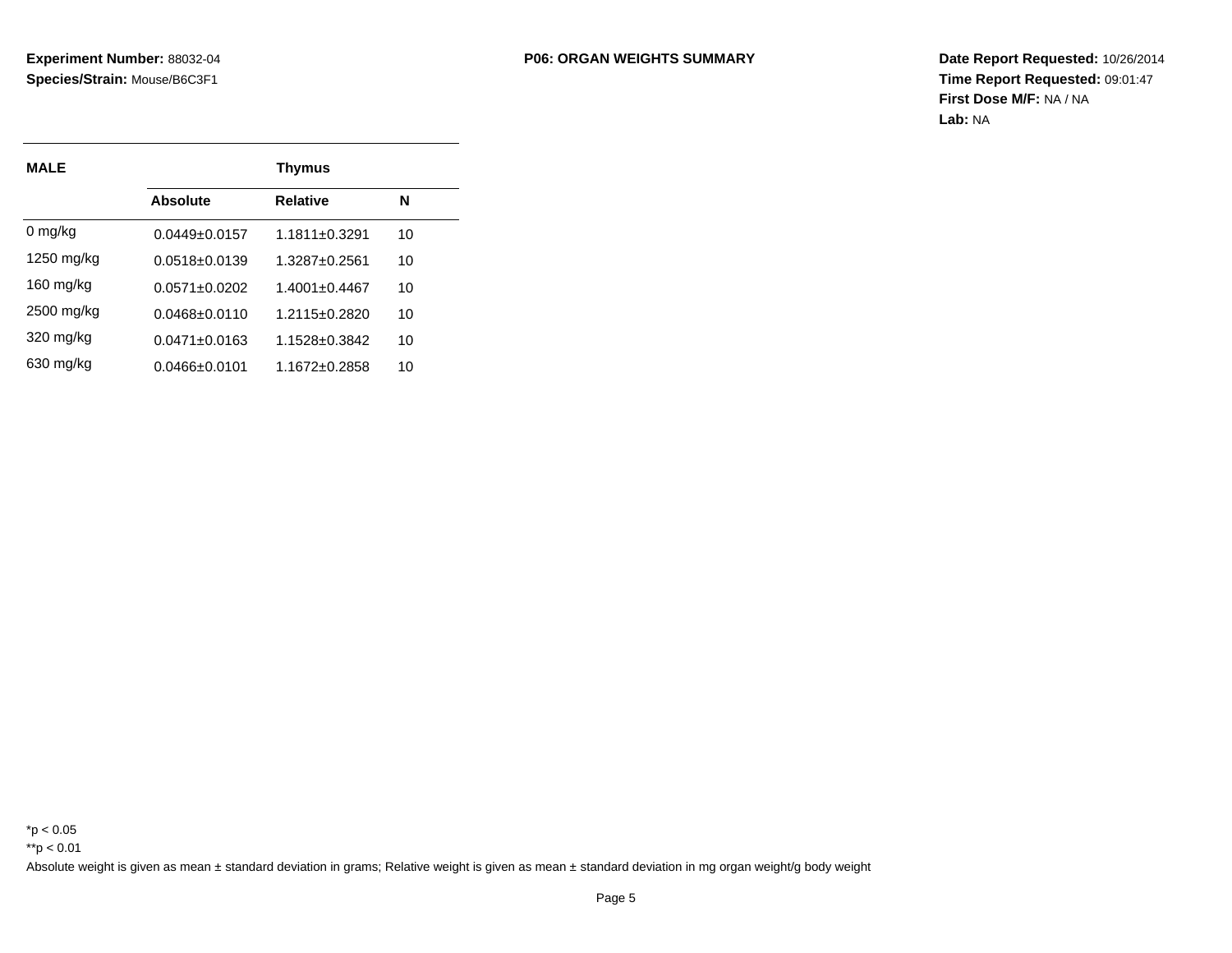| <b>MALE</b>  |                     | <b>Thymus</b>       |    |  |  |  |
|--------------|---------------------|---------------------|----|--|--|--|
|              | Absolute            | <b>Relative</b>     | N  |  |  |  |
| $0 \, mg/kg$ | $0.0449 + 0.0157$   | $1.1811 + 0.3291$   | 10 |  |  |  |
| 1250 mg/kg   | 0.0518+0.0139       | 1.3287+0.2561       | 10 |  |  |  |
| $160$ mg/kg  | $0.0571 + 0.0202$   | $1.4001 \pm 0.4467$ | 10 |  |  |  |
| 2500 mg/kg   | 0.0468+0.0110       | 1.2115+0.2820       | 10 |  |  |  |
| 320 mg/kg    | $0.0471 + 0.0163$   | 1.1528±0.3842       | 10 |  |  |  |
| 630 mg/kg    | $0.0466 \pm 0.0101$ | 1.1672±0.2858       | 10 |  |  |  |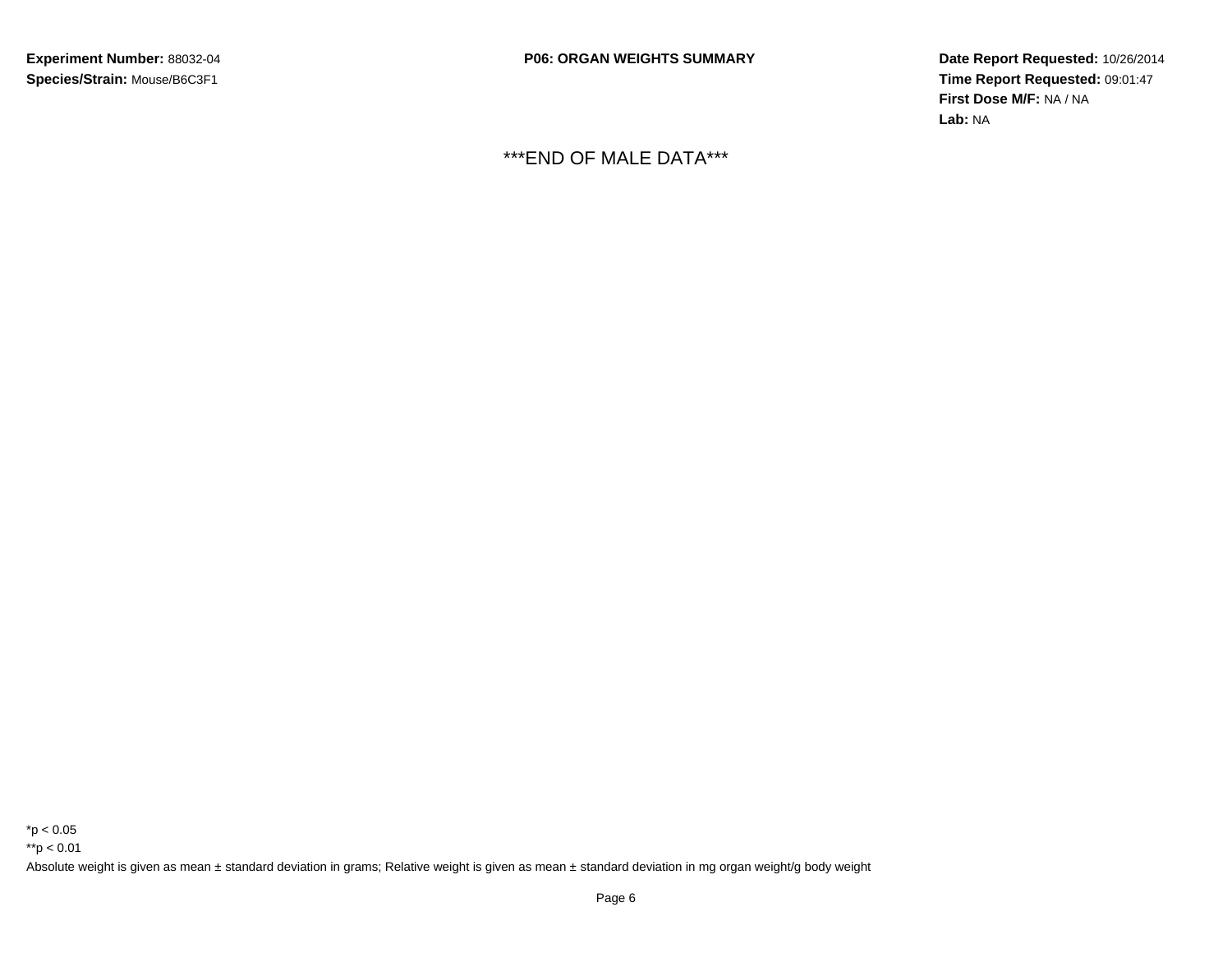**P06: ORGAN WEIGHTS SUMMARY**

 **Date Report Requested:** 10/26/2014 **Time Report Requested:** 09:01:47**First Dose M/F:** NA / NA**Lab:** NA

\*\*\*END OF MALE DATA\*\*\*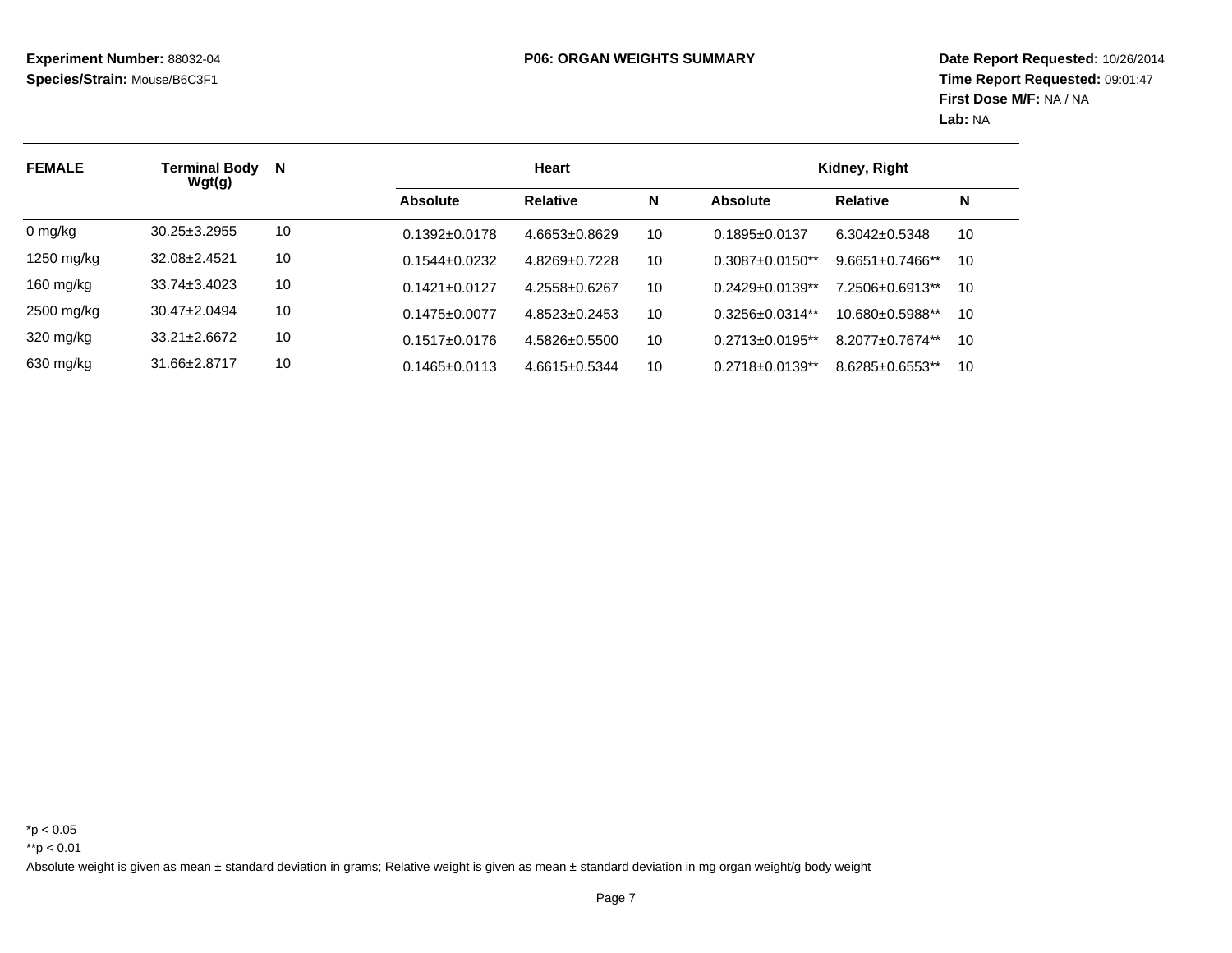| <b>FEMALE</b>       | Terminal Body<br>Wgt(g) | $\mathbf N$ |                     | Heart               | Kidney, Right |                        |                        |    |
|---------------------|-------------------------|-------------|---------------------|---------------------|---------------|------------------------|------------------------|----|
|                     |                         |             | Absolute            | <b>Relative</b>     | N             | Absolute               | <b>Relative</b>        | N  |
| 0 mg/kg             | $30.25 \pm 3.2955$      | 10          | $0.1392 \pm 0.0178$ | $4.6653 \pm 0.8629$ | 10            | $0.1895 \pm 0.0137$    | $6.3042 \pm 0.5348$    | 10 |
| 1250 mg/kg          | 32.08±2.4521            | 10          | $0.1544 + 0.0232$   | 4.8269+0.7228       | 10            | $0.3087 + 0.0150**$    | $9.6651 \pm 0.7466$ ** | 10 |
| 160 mg/kg           | $33.74 \pm 3.4023$      | 10          | $0.1421 + 0.0127$   | 4.2558±0.6267       | 10            | $0.2429 + 0.0139**$    | 7.2506±0.6913**        | 10 |
| 2500 mg/kg          | $30.47 \pm 2.0494$      | 10          | $0.1475 \pm 0.0077$ | 4.8523+0.2453       | 10            | $0.3256 + 0.0314**$    | $10.680 + 0.5988$ **   | 10 |
| $320 \text{ mg/kg}$ | $33.21 + 2.6672$        | 10          | $0.1517 \pm 0.0176$ | $4.5826 + 0.5500$   | 10            | $0.2713 \pm 0.0195$ ** | 8.2077+0.7674**        | 10 |
| 630 mg/kg           | 31.66±2.8717            | 10          | $0.1465 \pm 0.0113$ | $4.6615 \pm 0.5344$ | 10            | $0.2718 \pm 0.0139**$  | 8.6285±0.6553**        | 10 |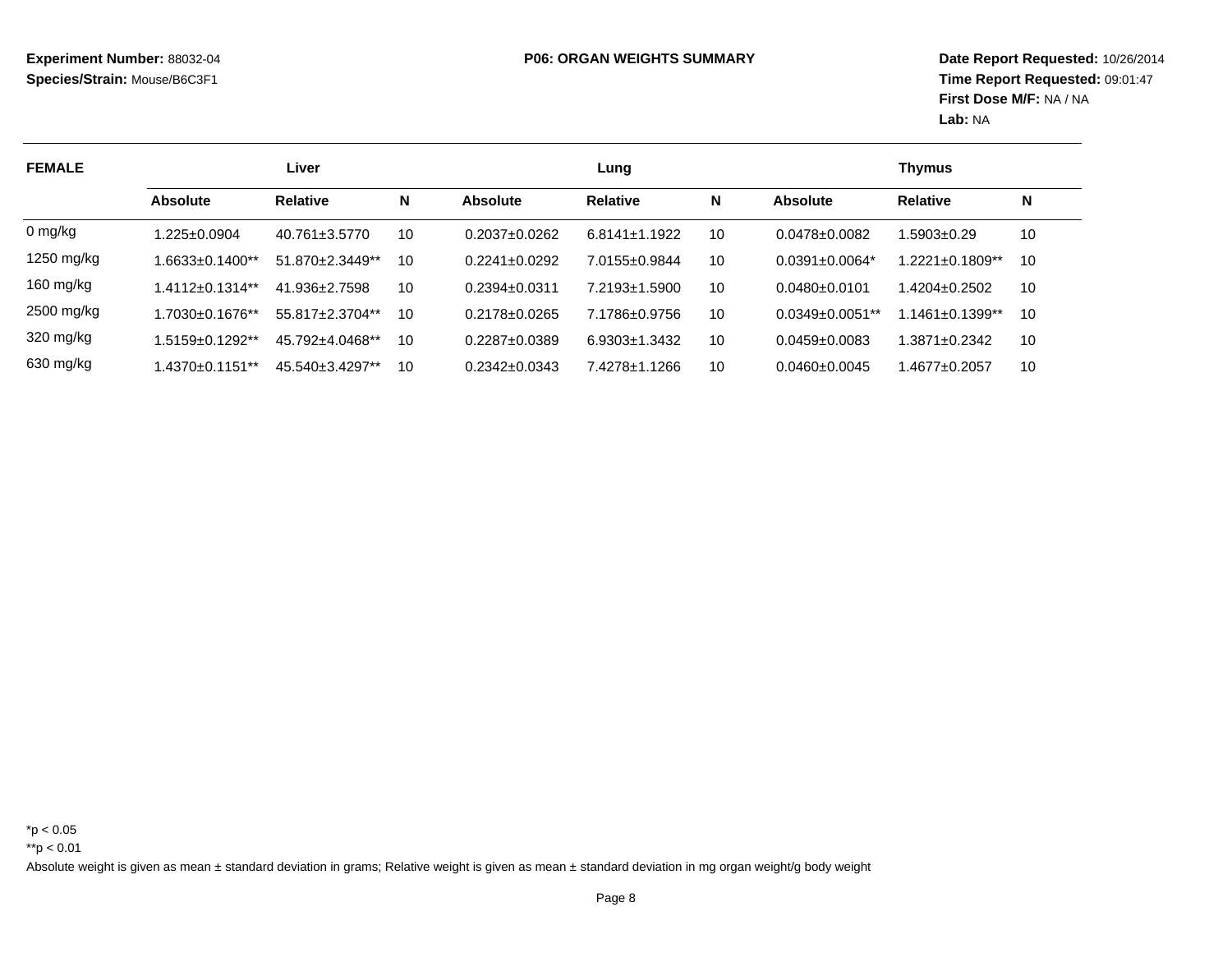| <b>FEMALE</b> | Liver              |                     |    | Lung                |                     |    |                                  | <b>Thymus</b>          |    |
|---------------|--------------------|---------------------|----|---------------------|---------------------|----|----------------------------------|------------------------|----|
|               | <b>Absolute</b>    | <b>Relative</b>     | N  | Absolute            | <b>Relative</b>     | N  | Absolute                         | <b>Relative</b>        | N  |
| $0$ mg/kg     | 1.225±0.0904       | $40.761 \pm 3.5770$ | 10 | $0.2037 + 0.0262$   | $6.8141 \pm 1.1922$ | 10 | $0.0478 + 0.0082$                | 1.5903+0.29            | 10 |
| 1250 mg/kg    | 1.6633±0.1400**    | 51.870±2.3449**     | 10 | $0.2241 \pm 0.0292$ | 7.0155±0.9844       | 10 | $0.0391 \pm 0.0064$ <sup>*</sup> | $1.2221 \pm 0.1809**$  | 10 |
| 160 mg/kg     | 1.4112±0.1314**    | 41.936±2.7598       | 10 | $0.2394 + 0.0311$   | 7.2193+1.5900       | 10 | $0.0480 + 0.0101$                | $1.4204 + 0.2502$      | 10 |
| 2500 mg/kg    | 1.7030±0.1676**    | 55.817±2.3704**     | 10 | $0.2178 + 0.0265$   | 7.1786±0.9756       | 10 | $0.0349 \pm 0.0051$ **           | $1.1461 \pm 0.1399$ ** | 10 |
| 320 mg/kg     | 1.5159+0.1292**    | 45.792+4.0468**     | 10 | 0.2287+0.0389       | $6.9303 \pm 1.3432$ | 10 | $0.0459 \pm 0.0083$              | $1.3871 \pm 0.2342$    | 10 |
| 630 mg/kg     | $.4370\pm0.1151**$ | 45.540+3.4297**     | 10 | $0.2342 \pm 0.0343$ | 7.4278±1.1266       | 10 | $0.0460 \pm 0.0045$              | $.4677 \pm 0.2057$     | 10 |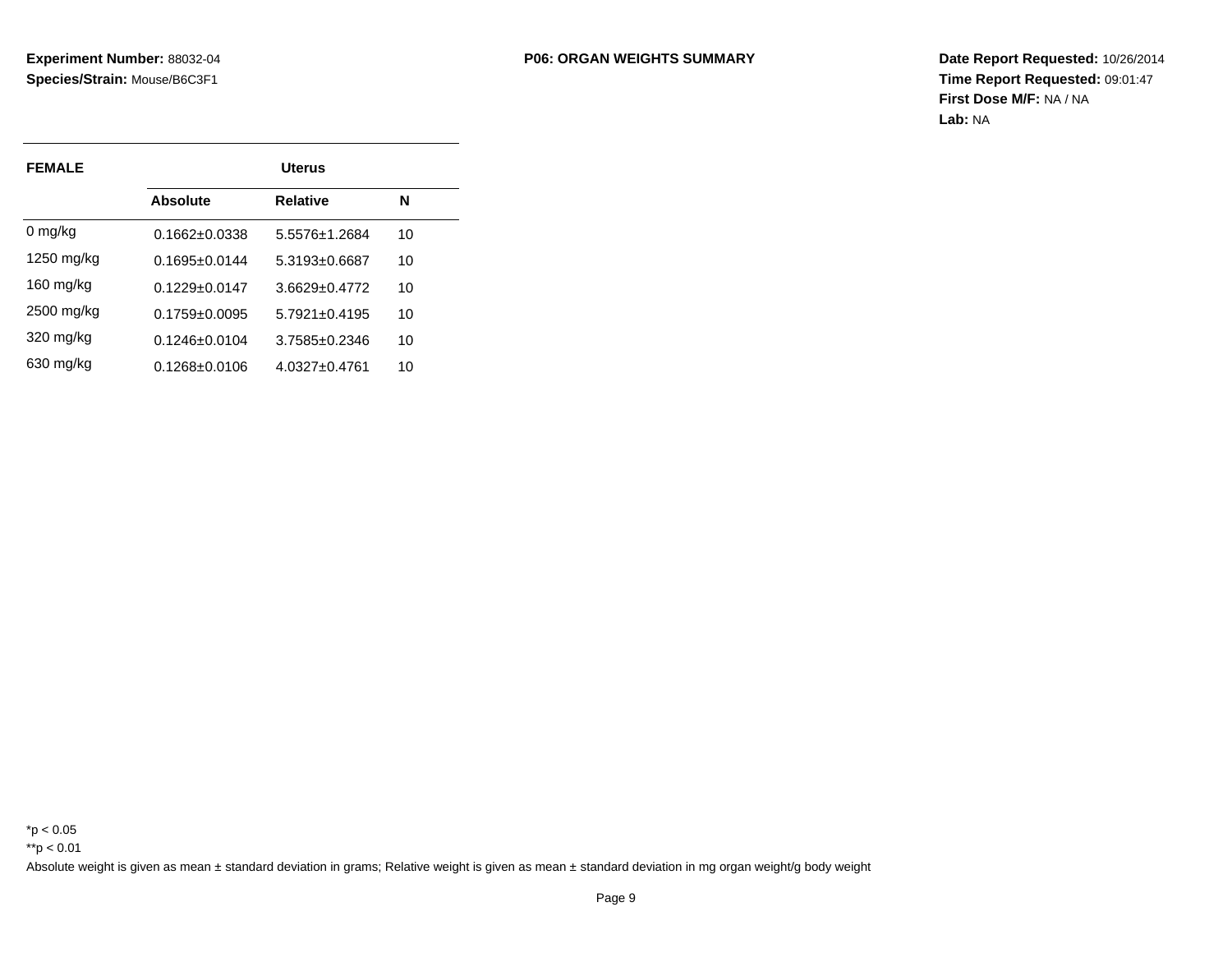| <b>FEMALE</b> |                     | <b>Uterus</b>     |    |
|---------------|---------------------|-------------------|----|
|               | Absolute            | <b>Relative</b>   | N  |
| $0 \, mg/kg$  | $0.1662 \pm 0.0338$ | 5.5576+1.2684     | 10 |
| $1250$ mg/kg  | $0.1695 + 0.0144$   | 5.3193+0.6687     | 10 |
| $160$ mg/kg   | $0.1229 \pm 0.0147$ | $3.6629 + 0.4772$ | 10 |
| 2500 mg/kg    | $0.1759 + 0.0095$   | $5.7921 + 0.4195$ | 10 |
| 320 mg/kg     | $0.1246 \pm 0.0104$ | 3.7585+0.2346     | 10 |
| 630 mg/kg     | 0.1268+0.0106       | 4.0327+0.4761     | 10 |